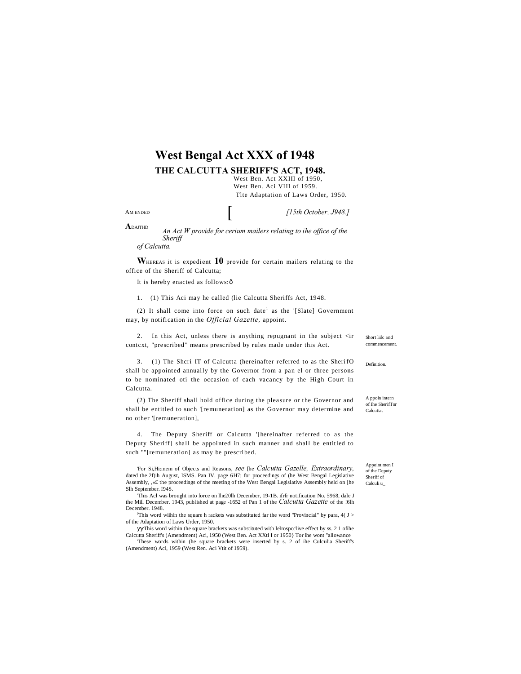# **West Bengal Act XXX of 1948**

**THE CALCUTTA SHERIFF'S ACT, 1948.**

West Ben. Act XXIII of 1950, West Ben. Aci VIII of 1959. Tlte Adaptation of Laws Order, 1950.

AM ENDED

*[15th October, J948.]*

**A**DAJTHD

*An Act W provide for cerium mailers relating to ihe office of the Sheriff of Calcutta.*

**W**HEREAS it is expedient **10** provide for certain mailers relating to the office of the Sheriff of Calcutta;

It is hereby enacted as follows: ô

1. (1) This Aci may he called (lie Calcutta Sheriffs Act, 1948.

(2) It shall come into force on such date<sup>1</sup> as the '[Slate] Government may, by notification in the *Official Gazette,* appoint.

2. In this Act, unless there is anything repugnant in the subject <ir contcxt, "prescribed" means prescribed by rules made under this Act.

3. (1) The Shcri IT of Calcutta (hereinafter referred to as the Sheri fO shall be appointed annually by the Governor from a pan el or three persons to be nominated oti the occasion of cach vacancy by the High Court in Calcutta.

(2) The Sheriff shall hold office during the pleasure or the Governor and shall be entitled to such '[remuneration] as the Governor may determine and no other '[remuneration],

4. The Deputy Sheriff or Calcutta '[hereinafter referred to as the Deputy Sheriff] shall be appointed in such manner and shall be entitled to such ""[remuneration] as may be prescribed.

'For Si,Hi:mem of Objects and Reasons, *see* [he *Calcutta Gazelle, Extraordinary,*  dated the 2f)ih August, ISMS. Pan IV. page 6H7; for proceedings of (he West Bengal Legislative Assembly, ,«£ the proceedings of the meeting of the West Bengal Legislative Assembly held on [he Slh September. I94S.

: This Acl was brought into force on lhe20lh December, 19-1B. ifrfr notification No. 5968, dale J the Mill December. 1943, published at page -1652 of Pan 1 of the *Calcutta Gazette* of the !6lh December. 1948.

This word wiihin the square h rackets was substituted far the word "Provincial" by para,  $4(J > 1)$ of the Adaptation of Laws Urder, 1950.

This word within the square brackets was substituted with lelrospcclive effect by ss. 2 1 of the Calcutta Sheriff's (Amendment) Aci, 1950 (West Ben. Act XXtl I or 1950} Tor ihe wont "allowance 'These words within (he square brackets were inserted by s. 2 of ihe Culculia Sheriff's

(Amendment) Aci, 1959 (West Ren. Aci Vtit of 1959).

Short liilc and cement

Definition.

A ppoin intern of Ihe SherifTor Calcutta.

Appoint men I of the Deputy Sheriff of Calculi u\_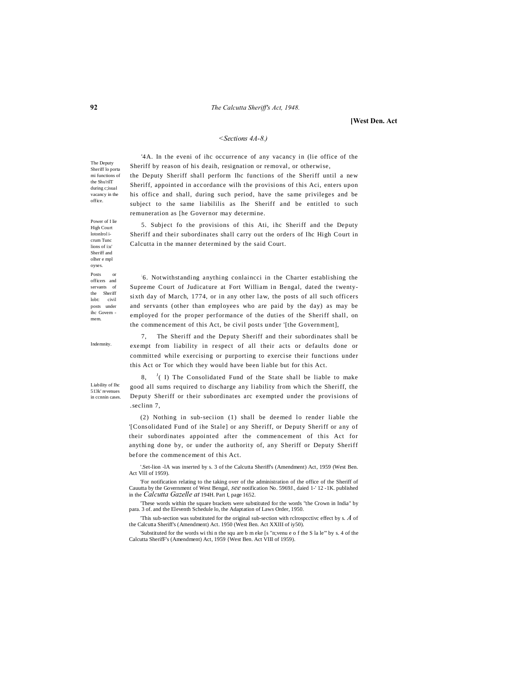## **[West Den. Act**

### *<Sections 4A-8.)*

'4A. In the eveni of ihc occurrence of any vacancy in (lie office of the

The Deputy Sheriff lo porta mi functions of the Shu'rilT during c;isual vacancy in the office.

Power of I lie High Court lotonlrol icrum Tunc lions of i:u' Sheriff and olher e mpl oyses. Posts or officers and servants of the Sheriff lobt: civil posts under ihc Govern mem.

Sheriff by reason of his deaih, resignation or removal, or otherwise, the Deputy Sheriff shall perform Ihc functions of the Sheriff until a new Sheriff, appointed in accordance wilh the provisions of this Aci, enters upon his office and shall, during such period, have the same privileges and be subject to the same liabililis as Ihe Sheriff and be entitled to such remuneration as [he Governor may determine.

5. Subject fo the provisions of this Ati, ihc Sheriff and the Deputy Sheriff and their subordinates shall carry out the orders of Ihc High Court in Calcutta in the manner determined by the said Court.

: 6. Notwithstanding anything conlaincci in the Charter establishing the Supreme Court of Judicature at Fort William in Bengal, dated the twentysixth day of March, 1774, or in any other law, the posts of all such officers and servants (other than employees who are paid by the day) as may be employed for the proper performance of the duties of the Sheriff shall, on the commencement of this Act, be civil posts under '[the Government],

Indemnity.

Liability of Ihc 513k' revenues in ccnnin cases.

7, The Sheriff and the Deputy Sheriff and their subordinates shall be exempt from liability in respect of all their acts or defaults done or committed while exercising or purporting to exercise their functions under this Act or Tor which they would have been liable but for this Act.

8, <sup>J</sup>  $<sup>J</sup>(1)$  The Consolidated Fund of the State shall be liable to make</sup> good all sums required to discharge any liability from which the Sheriff, the Deputy Sheriff or their subordinates arc exempted under the provisions of .seclinn 7,

(2) Nothing in sub-seciion (1) shall be deemed lo render liable the '[Consolidated Fund of ihe Stale] or any Sheriff, or Deputy Sheriff or any of their subordinates appointed after the commencement of this Act for anything done by, or under the authority of, any Sheriff or Deputy Sheriff before the commencement of this Act.

'.Set-lion -lA was inserted by s. 3 of the Calcutta Sheriff's (Amendment) Act, 1959 (West Ben. Act Vlll of 1959).

'For notification relating to the taking over of the administration of the office of the Sheriff of Cauutta by the Government of West Bengal, *see* notification No. 5969J., daied 1-' 12 -1K. published in the *Calcutta Gazelle at* 194H. Part I, page 1652.

'These words within the square brackets were substituted for the words "the Crown in India" by para. 3 of. and the Eleventh Schedule lo, the Adaptation of Laws Order, 1950.

'This sub-section was substituted for the original sub-section with rclrospcctivc effect by s. *A* of the Calcutta Sheriff's (Amendment) Act. 1950 (West Ben. Act XXIII of iy50).

'Substituted for the words wi thi n the squ are b m eke [s "n;venu e o f the S la le"' by s. 4 of the Calcutta SherifF's (Amendment) Act, 1959 {West Ben. Act VIII of 1959).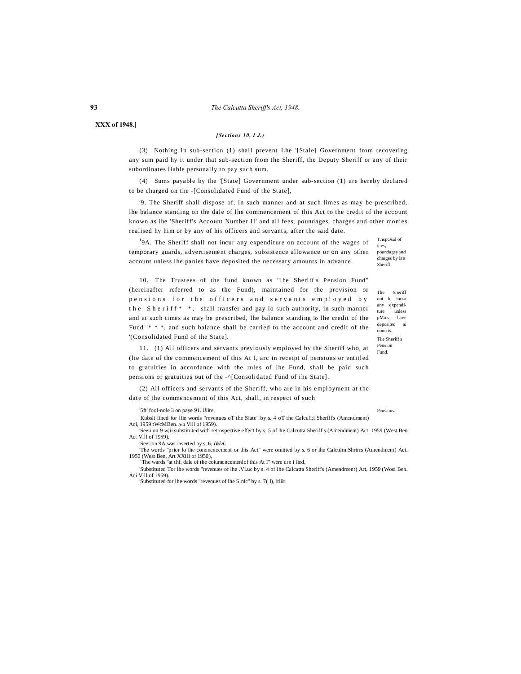**XXX of 1948.]**

# *[Sections 10, I J.)*

(3) Nothing in sub-section (1) shall prevent Lhe '[Stale] Government from recovering any sum paid hy it under that sub-section from the Sheriff, the Deputy Sheriff or any of their subordinates liable personally to pay such sum.

(4) Sums payable by the '[State] Government under sub-section (1) are hereby declared to be charged on the -[Consolidated Fund of the State],

'9. The Sheriff shall dispose of, in such manner and at such limes as may be prescribed, lhe balance standing on the dale of lhe commencement of this Act to the credit of the account known as ihe 'Sheriff's Account Number II' and all fees, poundages, charges and other monies realised hy him or by any of his officers and servants, after the said date.

TJispOsal of fees, poundages and charges by lite Sheriff. <sup>J</sup>9A. The Sheriff shall not incur any expenditure on account of the wages of temporary guards, advertisement charges, subsistence allowance or on any other account unless lhe panies have deposited the necessary amounts in advance.

10. The Trustees of the fund known as "lhe Sheriff's Pension Fund" (hereinafter referred to as the Fund), maintained for the provision or pensions for the officers and servants employed by the Sheriff<sup>\*</sup>, shall transfer and pay lo such authority, in such manner and at such times as may be prescribed, lhe balance standing io lhe credit of the Fund '\* \* \*, and such balance shall be carried to the account and credit of the '(Consolidated Fund of the State].

11. (1) All officers and servants previously employed by the Sheriff who, at (lie date of the commencement of this At I, arc in receipt of pensions or entitled to gratuities in accordance with the rules of lhe Fund, shall be paid such pensions or gratuities out of the -^[Consolidated Fund of ihe State].

(2) All officers and servants of the Sheriff, who are in his employment at the date of the commencement of this Act, shall, in respect of such

 $\frac{1}{2}$ 5ft' fool-nole 3 on paye 91. iJiire,

Kubsli lined for Ilie words "revenues oT the Siate" by s. 4 oT the Calculi; iSheriff's (Amendment) Aci, 1959 tWcMBen. Aci VIII of 1959).

'Seen on 9 w;ii substituted with retrospective effect by s. 5 of :he Calcutta Sheriff s (Amendment) Act. 1959 (West Ben Act Vlll of 1959).

'Seetion 9A was inserted by s, 6, *ibi d.*

'The words "prior lo ihe commencement or this Act" were omitted by s. 6 or ihe Calculm Shrirrs (Amendment) Aci. 1950 (West Ben, Art XXlll of 1950), "The wards "at thi; dale of the coiumcncemenlof this At I" were urn i lied,

'Substituted Tor lhe words "revenues of lhe .Vi.uc by s. 4 of lhe Calcutta Sheriff's (Amendment) Art, 1959 (Wosi Ben. Aci Vlll of 1959).

'Substituted for lhe words "revenues of lhe Slnlc" by s. 7( I), itiiit.

The Sheriff not lo incur any expenditure unless pMics have deposited ai

noun is. Tlie Sheriff's Pension Fund.

Pensions.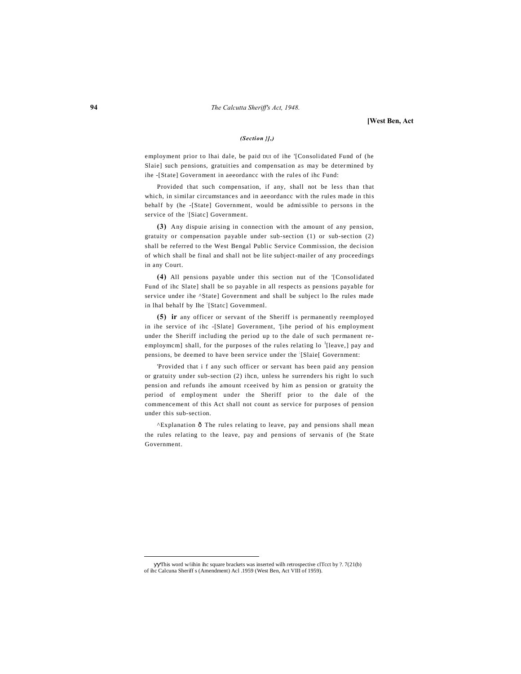### **[West Ben, Act**

### *(Section }],)*

employment prior to lhai dale, be paid DUI of ihe '[Consolidated Fund of (he Slaie] such pensions, gratuities and compensation as may be determined by ihe -[State] Government in aeeordancc with the rules of ihc Fund:

Provided that such compensation, if any, shall not be less than that which, in similar circumstances and in aeeordancc with the rules made in this behalf by (he -[State] Government, would be admi ssible to persons in the service of the [Siatc] Government.

**(3)** Any dispuie arising in connection with the amount of any pension, gratuity or compensation payable under sub-section (1) or sub-section (2) shall be referred to the West Bengal Public Service Commission, the decision of which shall be final and shall not be lite subject-mailer of any proceedings in any Court.

**(4)** All pensions payable under this section nut of the '[Consolidated Fund of ihc Slate] shall be so payable in all respects as pensions payable for service under ihe ^State] Government and shall be subject lo Ihe rules made in lhal behalf by Ihe [Statc] Govemmenl.

**(5)** ir any officer or servant of the Sheriff is permanently reemployed in ihe service of ihc -[Slate] Government, '[ihe period of his employment under the Sheriff including the period up to the dale of such permanent reemploymcm] shall, for the purposes of the rules relating  $10^{-1}$ [leave,] pay and pensions, be deemed to have been service under the [Slaie] Government:

'Provided that i f any such officer or servant has been paid any pension or gratuity under sub-section (2) ihcn, unless he surrenders his right lo such pension and refunds ihe amount rceeived by him as pension or gratuity the period of employment under the Sheriff prior to the dale of the commencement of this Act shall not count as service for purposes of pension under this sub-section.

^Explanation  $\hat{o}$  The rules relating to leave, pay and pensions shall mean the rules relating to the leave, pay and pensions of servanis of (he State Government.

-

This word w/iihin ihc square brackets was inserted wilh retrospective clTcct by  $?$ . 7(21(b) of ihc Calcuna Sheriff s (Amendment) Acl .1959 (West Ben, Act VIII of 1959).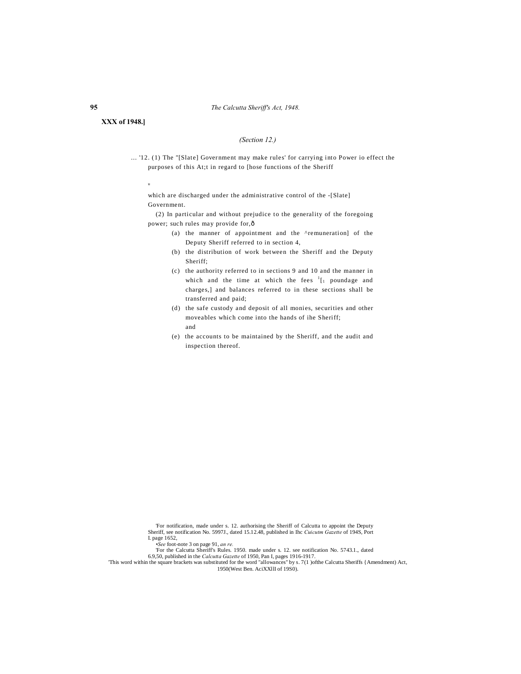# **XXX of 1948.]**

# *(Section 12.)*

... '12. (1) The "[Slate] Government may make rules' for carrying into Power io effect the purposes of this At;t in regard to [hose functions of the Sheriff

u

which are discharged under the administrative control of the -[Slate] Government.

(2) In particular and without prejudice to the generality of the foregoing power; such rules may provide for,—

- (a) the manner of appointment and the ^remuneration] of the Deputy Sheriff referred to in section 4,
- (b) the distribution of work between the Sheriff and the Deputy Sheriff;
- (c) the authority referred to in sections 9 and 10 and the manner in which and the time at which the fees  $1_{1}$  poundage and charges,] and balances referred to in these sections shall be transferred and paid;
- (d) the safe custody and deposit of all monies, securities and other moveables which come into the hands of ihe Sheriff; and
- (e) the accounts to be maintained by the Sheriff, and the audit and inspection thereof.

'For notification, made under s. 12. authorising the Sheriff of Calcutta to appoint the Deputy Sheriff, see notification No. 5997J., dated 15.12.48, published in Ihc *Cuicutm Gazette* of 194S, Port

I. page 1652, *•See* foot-note 3 on page 91, *an re.*

'For the Calcutta Sheriff's Rules. 1950. made under s. 12. see notification No. 5743.1., dated

6.9,50, published in the *Calcutta Gazette* of 1950, Pan I, pages 1916-1917. 'This word within the square brackets was substituted for the word "allowances" by s. 7(1 )ofthe Calcutta Sheriffs {Amendment) Act, 1950(West Ben. AciXXllI of 19S0).